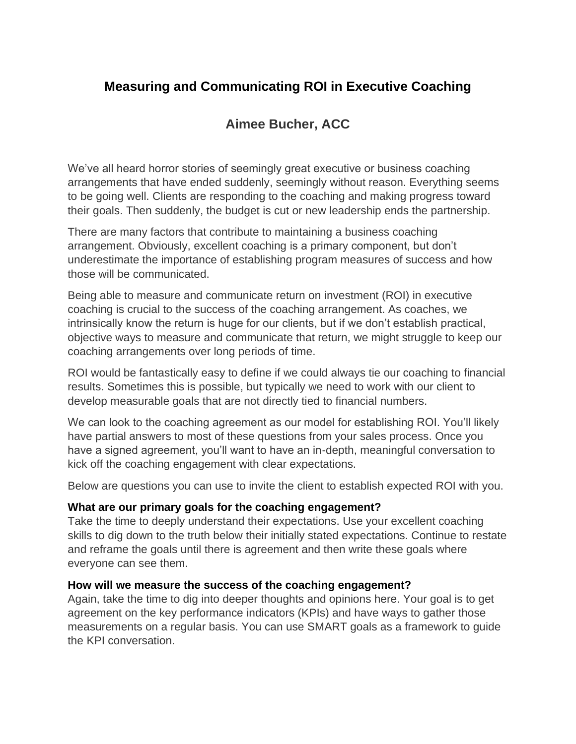## **Measuring and Communicating ROI in Executive Coaching**

# **Aimee Bucher, ACC**

We've all heard horror stories of seemingly great executive or business coaching arrangements that have ended suddenly, seemingly without reason. Everything seems to be going well. Clients are responding to the coaching and making progress toward their goals. Then suddenly, the budget is cut or new leadership ends the partnership.

There are many factors that contribute to maintaining a business coaching arrangement. Obviously, excellent coaching is a primary component, but don't underestimate the importance of establishing program measures of success and how those will be communicated.

Being able to measure and communicate return on investment (ROI) in executive coaching is crucial to the success of the coaching arrangement. As coaches, we intrinsically know the return is huge for our clients, but if we don't establish practical, objective ways to measure and communicate that return, we might struggle to keep our coaching arrangements over long periods of time.

ROI would be fantastically easy to define if we could always tie our coaching to financial results. Sometimes this is possible, but typically we need to work with our client to develop measurable goals that are not directly tied to financial numbers.

We can look to the coaching agreement as our model for establishing ROI. You'll likely have partial answers to most of these questions from your sales process. Once you have a signed agreement, you'll want to have an in-depth, meaningful conversation to kick off the coaching engagement with clear expectations.

Below are questions you can use to invite the client to establish expected ROI with you.

#### **What are our primary goals for the coaching engagement?**

Take the time to deeply understand their expectations. Use your excellent coaching skills to dig down to the truth below their initially stated expectations. Continue to restate and reframe the goals until there is agreement and then write these goals where everyone can see them.

#### **How will we measure the success of the coaching engagement?**

Again, take the time to dig into deeper thoughts and opinions here. Your goal is to get agreement on the key performance indicators (KPIs) and have ways to gather those measurements on a regular basis. You can use SMART goals as a framework to guide the KPI conversation.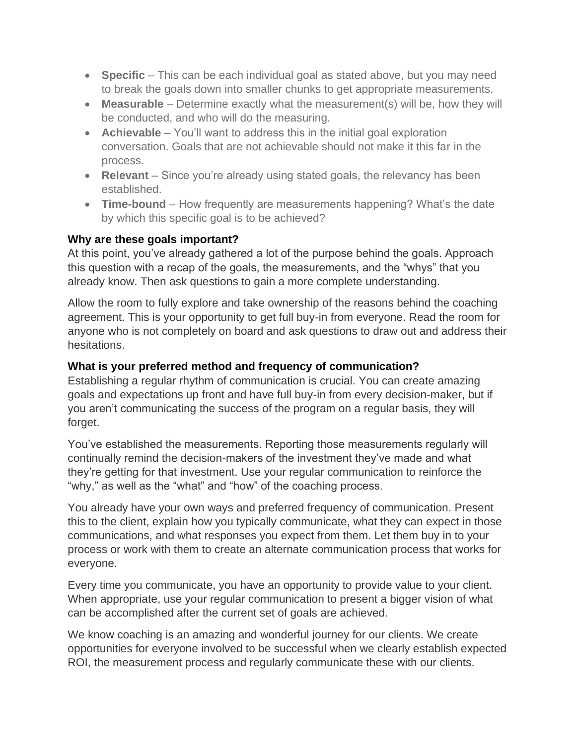- **Specific** This can be each individual goal as stated above, but you may need to break the goals down into smaller chunks to get appropriate measurements.
- **Measurable** Determine exactly what the measurement(s) will be, how they will be conducted, and who will do the measuring.
- **Achievable** You'll want to address this in the initial goal exploration conversation. Goals that are not achievable should not make it this far in the process.
- **Relevant** Since you're already using stated goals, the relevancy has been established.
- **Time-bound**  How frequently are measurements happening? What's the date by which this specific goal is to be achieved?

## **Why are these goals important?**

At this point, you've already gathered a lot of the purpose behind the goals. Approach this question with a recap of the goals, the measurements, and the "whys" that you already know. Then ask questions to gain a more complete understanding.

Allow the room to fully explore and take ownership of the reasons behind the coaching agreement. This is your opportunity to get full buy-in from everyone. Read the room for anyone who is not completely on board and ask questions to draw out and address their hesitations.

## **What is your preferred method and frequency of communication?**

Establishing a regular rhythm of communication is crucial. You can create amazing goals and expectations up front and have full buy-in from every decision-maker, but if you aren't communicating the success of the program on a regular basis, they will forget.

You've established the measurements. Reporting those measurements regularly will continually remind the decision-makers of the investment they've made and what they're getting for that investment. Use your regular communication to reinforce the "why," as well as the "what" and "how" of the coaching process.

You already have your own ways and preferred frequency of communication. Present this to the client, explain how you typically communicate, what they can expect in those communications, and what responses you expect from them. Let them buy in to your process or work with them to create an alternate communication process that works for everyone.

Every time you communicate, you have an opportunity to provide value to your client. When appropriate, use your regular communication to present a bigger vision of what can be accomplished after the current set of goals are achieved.

We know coaching is an amazing and wonderful journey for our clients. We create opportunities for everyone involved to be successful when we clearly establish expected ROI, the measurement process and regularly communicate these with our clients.